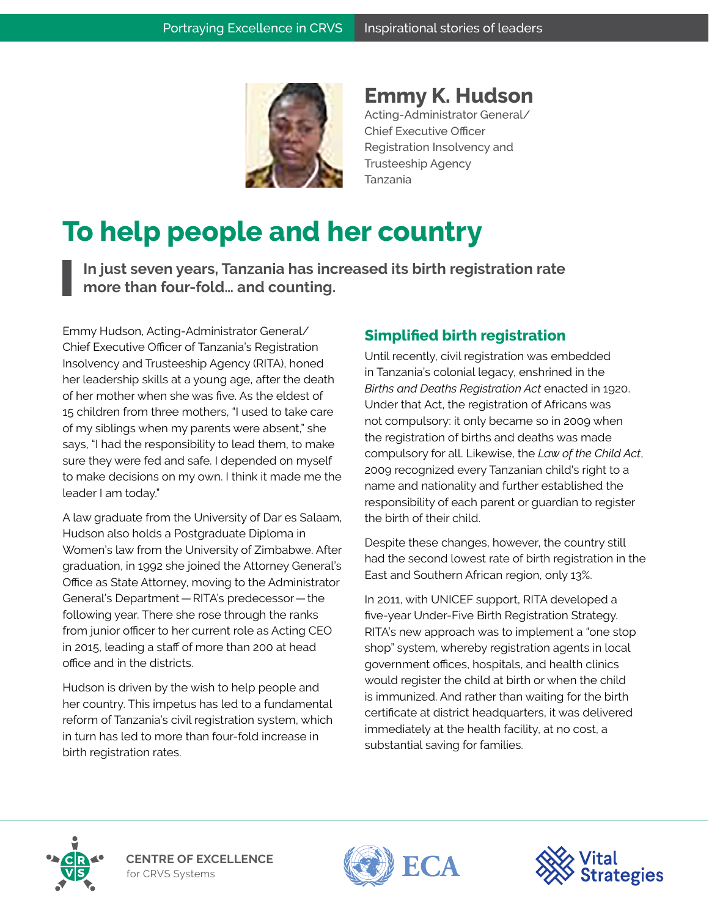

**Emmy K. Hudson** Acting-Administrator General/ Chief Executive Officer Registration Insolvency and Trusteeship Agency Tanzania

## **To help people and her country**

**In just seven years, Tanzania has increased its birth registration rate more than four-fold… and counting.**

Emmy Hudson, Acting-Administrator General/ Chief Executive Officer of Tanzania's Registration Insolvency and Trusteeship Agency (RITA), honed her leadership skills at a young age, after the death of her mother when she was five. As the eldest of 15 children from three mothers, "I used to take care of my siblings when my parents were absent," she says, "I had the responsibility to lead them, to make sure they were fed and safe. I depended on myself to make decisions on my own. I think it made me the leader I am today."

A law graduate from the University of Dar es Salaam, Hudson also holds a Postgraduate Diploma in Women's law from the University of Zimbabwe. After graduation, in 1992 she joined the Attorney General's Office as State Attorney, moving to the Administrator General's Department — RITA's predecessor — the following year. There she rose through the ranks from junior officer to her current role as Acting CEO in 2015, leading a staff of more than 200 at head office and in the districts.

Hudson is driven by the wish to help people and her country. This impetus has led to a fundamental reform of Tanzania's civil registration system, which in turn has led to more than four-fold increase in birth registration rates.

## **Simplified birth registration**

Until recently, civil registration was embedded in Tanzania's colonial legacy, enshrined in the *Births and Deaths Registration Act* enacted in 1920. Under that Act, the registration of Africans was not compulsory: it only became so in 2009 when the registration of births and deaths was made compulsory for all. Likewise, the *Law of the Child Act*, 2009 recognized every Tanzanian child's right to a name and nationality and further established the responsibility of each parent or guardian to register the birth of their child.

Despite these changes, however, the country still had the second lowest rate of birth registration in the East and Southern African region, only 13%.

In 2011, with UNICEF support, RITA developed a five-year Under-Five Birth Registration Strategy. RITA's new approach was to implement a "one stop shop" system, whereby registration agents in local government offices, hospitals, and health clinics would register the child at birth or when the child is immunized. And rather than waiting for the birth certificate at district headquarters, it was delivered immediately at the health facility, at no cost, a substantial saving for families.



**CENTRE OF EXCELLENCE** for CRVS Systems